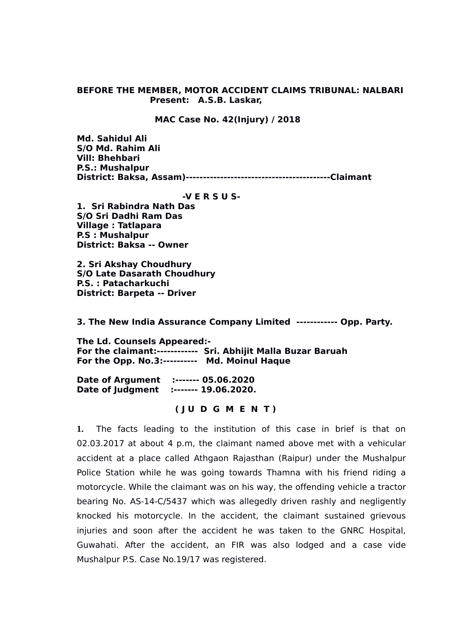### **BEFORE THE MEMBER, MOTOR ACCIDENT CLAIMS TRIBUNAL: NALBARI Present: A.S.B. Laskar,**

### **MAC Case No. 42(Injury) / 2018**

**Md. Sahidul Ali S/O Md. Rahim Ali Vill: Bhehbari P.S.: Mushalpur District: Baksa, Assam)------------------------------------------Claimant** 

#### **-V E R S U S-**

**1. Sri Rabindra Nath Das S/O Sri Dadhi Ram Das Village : Tatlapara P.S : Mushalpur District: Baksa -- Owner** 

**2. Sri Akshay Choudhury S/O Late Dasarath Choudhury P.S. : Patacharkuchi District: Barpeta -- Driver**

**3. The New India Assurance Company Limited ------------ Opp. Party.**

**The Ld. Counsels Appeared:- For the claimant:------------ Sri. Abhijit Malla Buzar Baruah For the Opp. No.3:---------- Md. Moinul Haque**

**Date of Argument :------- 05.06.2020 Date of Judgment :------- 19.06.2020.**

# **( J U D G M E N T )**

**1.** The facts leading to the institution of this case in brief is that on 02.03.2017 at about 4 p.m, the claimant named above met with a vehicular accident at a place called Athgaon Rajasthan (Raipur) under the Mushalpur Police Station while he was going towards Thamna with his friend riding a motorcycle. While the claimant was on his way, the offending vehicle a tractor bearing No. AS-14-C/5437 which was allegedly driven rashly and negligently knocked his motorcycle. In the accident, the claimant sustained grievous injuries and soon after the accident he was taken to the GNRC Hospital, Guwahati. After the accident, an FIR was also lodged and a case vide Mushalpur P.S. Case No.19/17 was registered.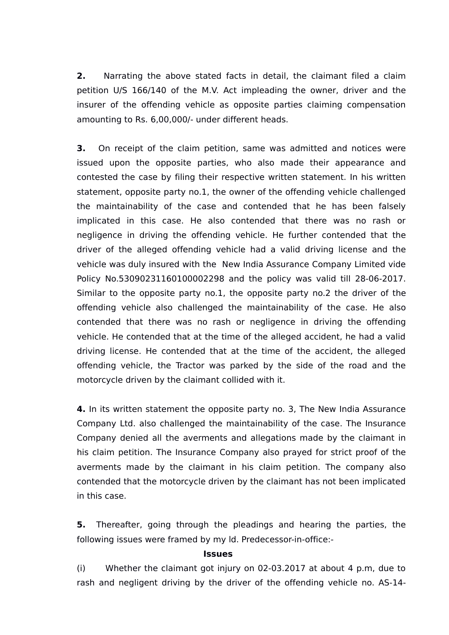**2.** Narrating the above stated facts in detail, the claimant filed a claim petition U/S 166/140 of the M.V. Act impleading the owner, driver and the insurer of the offending vehicle as opposite parties claiming compensation amounting to Rs. 6,00,000/- under different heads.

**3.** On receipt of the claim petition, same was admitted and notices were issued upon the opposite parties, who also made their appearance and contested the case by filing their respective written statement. In his written statement, opposite party no.1, the owner of the offending vehicle challenged the maintainability of the case and contended that he has been falsely implicated in this case. He also contended that there was no rash or negligence in driving the offending vehicle. He further contended that the driver of the alleged offending vehicle had a valid driving license and the vehicle was duly insured with the New India Assurance Company Limited vide Policy No.53090231160100002298 and the policy was valid till 28-06-2017. Similar to the opposite party no.1, the opposite party no.2 the driver of the offending vehicle also challenged the maintainability of the case. He also contended that there was no rash or negligence in driving the offending vehicle. He contended that at the time of the alleged accident, he had a valid driving license. He contended that at the time of the accident, the alleged offending vehicle, the Tractor was parked by the side of the road and the motorcycle driven by the claimant collided with it.

**4.** In its written statement the opposite party no. 3, The New India Assurance Company Ltd. also challenged the maintainability of the case. The Insurance Company denied all the averments and allegations made by the claimant in his claim petition. The Insurance Company also prayed for strict proof of the averments made by the claimant in his claim petition. The company also contended that the motorcycle driven by the claimant has not been implicated in this case.

**5.** Thereafter, going through the pleadings and hearing the parties, the following issues were framed by my ld. Predecessor-in-office:-

## **Issues**

(i) Whether the claimant got injury on 02-03.2017 at about 4 p.m, due to rash and negligent driving by the driver of the offending vehicle no. AS-14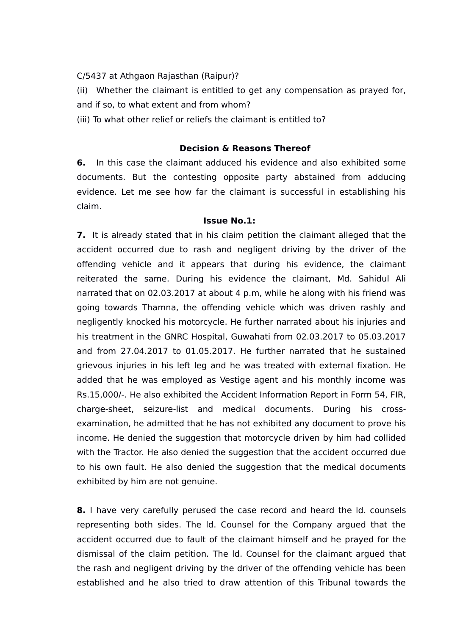C/5437 at Athgaon Rajasthan (Raipur)?

(ii) Whether the claimant is entitled to get any compensation as prayed for, and if so, to what extent and from whom?

(iii) To what other relief or reliefs the claimant is entitled to?

### **Decision & Reasons Thereof**

**6.** In this case the claimant adduced his evidence and also exhibited some documents. But the contesting opposite party abstained from adducing evidence. Let me see how far the claimant is successful in establishing his claim.

# **Issue No.1:**

**7.** It is already stated that in his claim petition the claimant alleged that the accident occurred due to rash and negligent driving by the driver of the offending vehicle and it appears that during his evidence, the claimant reiterated the same. During his evidence the claimant, Md. Sahidul Ali narrated that on 02.03.2017 at about 4 p.m, while he along with his friend was going towards Thamna, the offending vehicle which was driven rashly and negligently knocked his motorcycle. He further narrated about his injuries and his treatment in the GNRC Hospital, Guwahati from 02.03.2017 to 05.03.2017 and from 27.04.2017 to 01.05.2017. He further narrated that he sustained grievous injuries in his left leg and he was treated with external fixation. He added that he was employed as Vestige agent and his monthly income was Rs.15,000/-. He also exhibited the Accident Information Report in Form 54, FIR, charge-sheet, seizure-list and medical documents. During his crossexamination, he admitted that he has not exhibited any document to prove his income. He denied the suggestion that motorcycle driven by him had collided with the Tractor. He also denied the suggestion that the accident occurred due to his own fault. He also denied the suggestion that the medical documents exhibited by him are not genuine.

**8.** I have very carefully perused the case record and heard the ld. counsels representing both sides. The ld. Counsel for the Company argued that the accident occurred due to fault of the claimant himself and he prayed for the dismissal of the claim petition. The ld. Counsel for the claimant argued that the rash and negligent driving by the driver of the offending vehicle has been established and he also tried to draw attention of this Tribunal towards the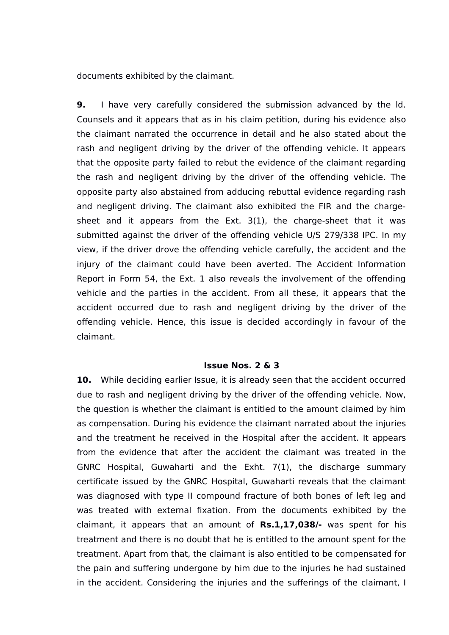documents exhibited by the claimant.

**9.** I have very carefully considered the submission advanced by the ld. Counsels and it appears that as in his claim petition, during his evidence also the claimant narrated the occurrence in detail and he also stated about the rash and negligent driving by the driver of the offending vehicle. It appears that the opposite party failed to rebut the evidence of the claimant regarding the rash and negligent driving by the driver of the offending vehicle. The opposite party also abstained from adducing rebuttal evidence regarding rash and negligent driving. The claimant also exhibited the FIR and the chargesheet and it appears from the Ext. 3(1), the charge-sheet that it was submitted against the driver of the offending vehicle U/S 279/338 IPC. In my view, if the driver drove the offending vehicle carefully, the accident and the injury of the claimant could have been averted. The Accident Information Report in Form 54, the Ext. 1 also reveals the involvement of the offending vehicle and the parties in the accident. From all these, it appears that the accident occurred due to rash and negligent driving by the driver of the offending vehicle. Hence, this issue is decided accordingly in favour of the claimant.

#### **Issue Nos. 2 & 3**

**10.** While deciding earlier Issue, it is already seen that the accident occurred due to rash and negligent driving by the driver of the offending vehicle. Now, the question is whether the claimant is entitled to the amount claimed by him as compensation. During his evidence the claimant narrated about the injuries and the treatment he received in the Hospital after the accident. It appears from the evidence that after the accident the claimant was treated in the GNRC Hospital, Guwaharti and the Exht. 7(1), the discharge summary certificate issued by the GNRC Hospital, Guwaharti reveals that the claimant was diagnosed with type II compound fracture of both bones of left leg and was treated with external fixation. From the documents exhibited by the claimant, it appears that an amount of **Rs.1,17,038/-** was spent for his treatment and there is no doubt that he is entitled to the amount spent for the treatment. Apart from that, the claimant is also entitled to be compensated for the pain and suffering undergone by him due to the injuries he had sustained in the accident. Considering the injuries and the sufferings of the claimant, I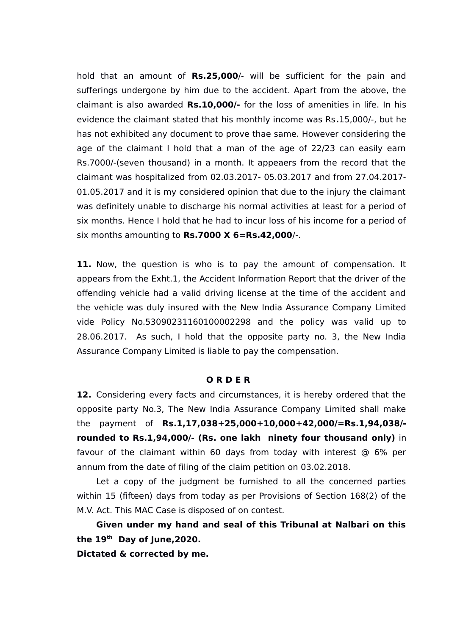hold that an amount of **Rs.25,000**/- will be sufficient for the pain and sufferings undergone by him due to the accident. Apart from the above, the claimant is also awarded **Rs.10,000/-** for the loss of amenities in life. In his evidence the claimant stated that his monthly income was Rs**.**15,000/-, but he has not exhibited any document to prove thae same. However considering the age of the claimant I hold that a man of the age of 22/23 can easily earn Rs.7000/-(seven thousand) in a month. It appeaers from the record that the claimant was hospitalized from 02.03.2017- 05.03.2017 and from 27.04.2017- 01.05.2017 and it is my considered opinion that due to the injury the claimant was definitely unable to discharge his normal activities at least for a period of six months. Hence I hold that he had to incur loss of his income for a period of six months amounting to **Rs.7000 X 6=Rs.42,000**/-.

**11.** Now, the question is who is to pay the amount of compensation. It appears from the Exht.1, the Accident Information Report that the driver of the offending vehicle had a valid driving license at the time of the accident and the vehicle was duly insured with the New India Assurance Company Limited vide Policy No.53090231160100002298 and the policy was valid up to 28.06.2017. As such, I hold that the opposite party no. 3, the New India Assurance Company Limited is liable to pay the compensation.

## **O R D E R**

**12.** Considering every facts and circumstances, it is hereby ordered that the opposite party No.3, The New India Assurance Company Limited shall make the payment of **Rs.1,17,038+25,000+10,000+42,000/=Rs.1,94,038/ rounded to Rs.1,94,000/- (Rs. one lakh ninety four thousand only)** in favour of the claimant within 60 days from today with interest @ 6% per annum from the date of filing of the claim petition on 03.02.2018.

Let a copy of the judgment be furnished to all the concerned parties within 15 (fifteen) days from today as per Provisions of Section 168(2) of the M.V. Act. This MAC Case is disposed of on contest.

**Given under my hand and seal of this Tribunal at Nalbari on this the 19th Day of June,2020.** 

**Dictated & corrected by me.**